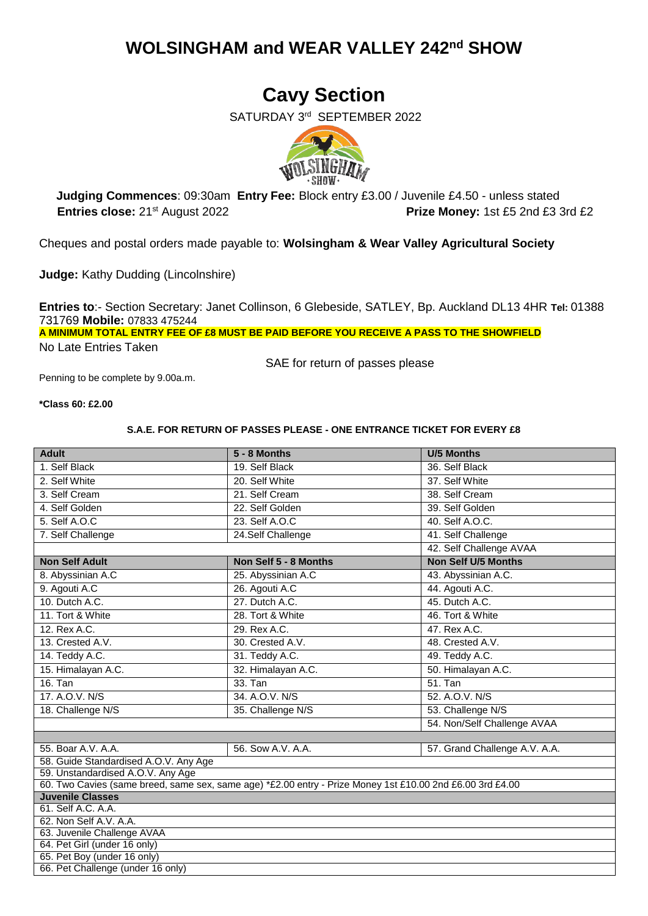## **WOLSINGHAM and WEAR VALLEY 242nd SHOW**

# **Cavy Section**

SATURDAY 3<sup>rd</sup> SEPTEMBER 2022



 **Judging Commences**: 09:30am **Entry Fee:** Block entry £3.00 / Juvenile £4.50 - unless stated **Entries close:** 21st August 2022 **Prize Money:** 1st £5 2nd £3 3rd £2

Cheques and postal orders made payable to: **Wolsingham & Wear Valley Agricultural Society**

**Judge:** Kathy Dudding (Lincolnshire)

**Entries to**:- Section Secretary: Janet Collinson, 6 Glebeside, SATLEY, Bp. Auckland DL13 4HR **Tel:** 01388 731769 **Mobile:** 07833 475244 **A MINIMUM TOTAL ENTRY FEE OF £8 MUST BE PAID BEFORE YOU RECEIVE A PASS TO THE SHOWFIELD** No Late Entries Taken

SAE for return of passes please

Penning to be complete by 9.00a.m.

**\*Class 60: £2.00**

#### **S.A.E. FOR RETURN OF PASSES PLEASE - ONE ENTRANCE TICKET FOR EVERY £8**

| <b>Adult</b>                                                                                                                         | 5 - 8 Months          | <b>U/5 Months</b>             |  |  |  |  |
|--------------------------------------------------------------------------------------------------------------------------------------|-----------------------|-------------------------------|--|--|--|--|
| 1. Self Black                                                                                                                        | 19. Self Black        | 36. Self Black                |  |  |  |  |
| 2. Self White                                                                                                                        | 20. Self White        | 37. Self White                |  |  |  |  |
| 3. Self Cream                                                                                                                        | 21. Self Cream        | 38. Self Cream                |  |  |  |  |
| 4. Self Golden                                                                                                                       | 22. Self Golden       | 39. Self Golden               |  |  |  |  |
| 5. Self A.O.C                                                                                                                        | 23. Self A.O.C        | 40. Self A.O.C.               |  |  |  |  |
| 7. Self Challenge                                                                                                                    | 24.Self Challenge     | 41. Self Challenge            |  |  |  |  |
|                                                                                                                                      |                       | 42. Self Challenge AVAA       |  |  |  |  |
| <b>Non Self Adult</b>                                                                                                                | Non Self 5 - 8 Months | <b>Non Self U/5 Months</b>    |  |  |  |  |
| 8. Abyssinian A.C                                                                                                                    | 25. Abyssinian A.C    | 43. Abyssinian A.C.           |  |  |  |  |
| 9. Agouti A.C                                                                                                                        | 26. Agouti A.C        | 44. Agouti A.C.               |  |  |  |  |
| 10. Dutch A.C.                                                                                                                       | 27. Dutch A.C.        | 45. Dutch A.C.                |  |  |  |  |
| 11. Tort & White                                                                                                                     | 28. Tort & White      | 46. Tort & White              |  |  |  |  |
| 12. Rex A.C.                                                                                                                         | 29. Rex A.C.          | 47. Rex A.C.                  |  |  |  |  |
| 13. Crested A.V.                                                                                                                     | 30. Crested A.V.      | 48. Crested A.V.              |  |  |  |  |
| 14. Teddy A.C.                                                                                                                       | 31. Teddy A.C.        | 49. Teddy A.C.                |  |  |  |  |
| 15. Himalayan A.C.                                                                                                                   | 32. Himalayan A.C.    | 50. Himalayan A.C.            |  |  |  |  |
| $16.$ Tan                                                                                                                            | 33. Tan               | $51.$ Tan                     |  |  |  |  |
| 17. A.O.V. N/S                                                                                                                       | 34. A.O.V. N/S        | 52. A.O.V. N/S                |  |  |  |  |
| 18. Challenge N/S                                                                                                                    | 35. Challenge N/S     | 53. Challenge N/S             |  |  |  |  |
|                                                                                                                                      |                       | 54. Non/Self Challenge AVAA   |  |  |  |  |
|                                                                                                                                      |                       |                               |  |  |  |  |
| 55. Boar A.V. A.A.                                                                                                                   | 56. Sow A.V. A.A.     | 57. Grand Challenge A.V. A.A. |  |  |  |  |
| 58. Guide Standardised A.O.V. Any Age                                                                                                |                       |                               |  |  |  |  |
| 59. Unstandardised A.O.V. Any Age                                                                                                    |                       |                               |  |  |  |  |
| 60. Two Cavies (same breed, same sex, same age) *£2.00 entry - Prize Money 1st £10.00 2nd £6.00 3rd £4.00<br><b>Juvenile Classes</b> |                       |                               |  |  |  |  |
| 61. Self A.C. A.A.                                                                                                                   |                       |                               |  |  |  |  |
| 62. Non Self A.V. A.A.                                                                                                               |                       |                               |  |  |  |  |
| 63. Juvenile Challenge AVAA                                                                                                          |                       |                               |  |  |  |  |
| 64. Pet Girl (under 16 only)                                                                                                         |                       |                               |  |  |  |  |
| 65. Pet Boy (under 16 only)                                                                                                          |                       |                               |  |  |  |  |
| 66. Pet Challenge (under 16 only)                                                                                                    |                       |                               |  |  |  |  |